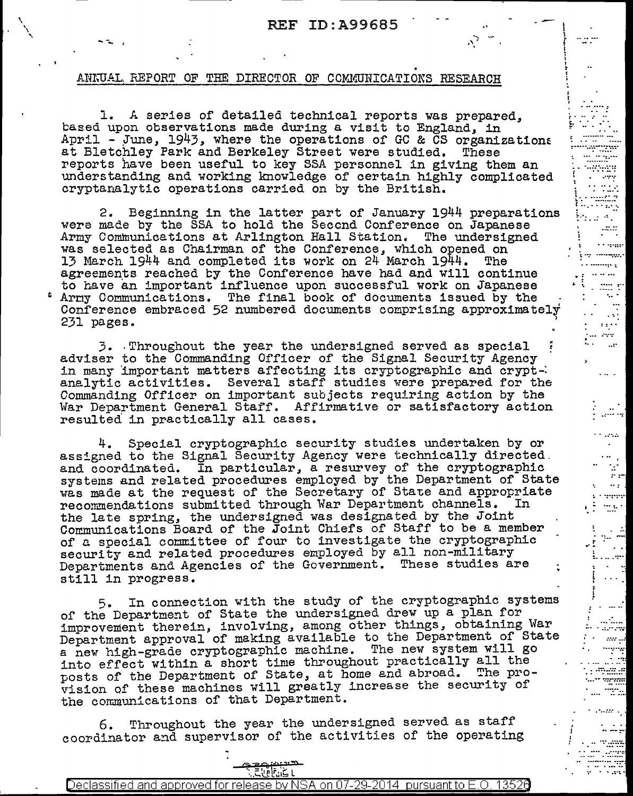I \ f  $\ddot{\phantom{a}}$ I ~

 $\frac{1}{2}$ 

':. ..... ·: .......

t ......... . "'. .. ......... .. [ ...... *:.·* ·. ....... ":, .. . .. .. ..

 $\pm \cdot \cdot$  $\cdots$  and  $\cdots$ g may .......  $\frac{1}{2}$ 

...... . ...

 $\cdots$ 

ن بن<br>مناسب

r nasa  $\bullet$  $\sim 10^{-1}$  $\mathbb{R}^2$  $\sigma$   $\sigma$  $\sim 10^{11}$ 

 $\sim 10$ 

 $\begin{array}{l} \color{red}{\mathbf{1}} \vdash \text{where} \\ \color{red}{\mathbf{1}} \vdash \text{where} \end{array}$ 

r . .. .

 $\sim 10$ u ver

 $\mathbf{r}$ 

ليسترجل وزار  $m_{\tilde{t}}$ .........

 $\mathfrak{l}$  ...

.. *..* :-:-*.... ::: .. ::* .......... . .. . ... .. ·.-:.-:::::

an a

.... :·-:.·

## ANNUAL REPORT OF THE DIRECTOR OF COMMUNICATIONS RESEARCH

'· ' \ •.

---

l. *A* series of detailed technical reports was prepared, based upon observations made during a visit to England, in April - June,  $1943$ , where the operations of GC & CS organizations at Bletchley Park and Berkeley Street were studied. These at Bletchley Park and Berkeley Street were studied. reports have been useful to key SSA personnel in giving them an understanding and working knowledge of certain highly complicated cryptanalytic operations carried on by the British.

2. Beginning in the latter part of January 1944 preparations were made by the SSA to hold the Second Conference on Japanese<br>Army Communications at Arlington Hall Station. The undersigned was selected as Chairman of the Conference, which opened on was selected as onarrman of the conference, which opened on<br>13 March 1944 and completed its work on 24 March 1944. The agreements reached by the Conference have had and will continue to have an important influence upon successful work on Japanese Army Communications. The final book of documents issued by the Conference embraced 52 numbered documents comprising approximately 231 pages. '

3. Throughout the year the undersigned served as special :<br>adviser to the Commanding Officer of the Signal Security Agency<br>in many important matters affecting its cryptographic and crypt-<br>analytic activities. Several staff Commanding Officer on important subjects requiring action by the War Department General Staff. Affirmative or satisfactory action resulted in practically all cases.

4. Special cryptographic security studies undertaken by or assigned to the Signal Security Agency were technically directed. and coordinated. In particular, a resurvey of the cryptographic systems and related procedures employed by the Department of State was made at the request of the Secretary of State and appropriate recommendations submitted through War Department channels. the late spring, the undersigned was designated by the Joint Communications Board of the Joint Chiefs of Staff to be a member of a special committee of four to investigate the cryptographic security and related procedures employed by all non-military Departments and Agencies of the Government. These studies are still in progress.

5. In connection with the study of the cryptographic systems or the Department of State the undersigned drew up a plan for improvement therein, involving, among other things, obtaining War Department approval of making available to the Department of State a new high-grade cryptographic machine. The new system will go into effect within a short time throughout practically all the posts of the Department of State, at home and abroad. The pro- vision of these machines will greatly increase the security of the communications of that Department.

6. Throughout the year the undersigned served as staff coordinator and supervisor of the activities of the operating

'? == R> {:'; *?'.,,* : .. <:.,..:J.l.'".:1~L

| 29L<br>-<br>MNSA.<br>∎∟<br>.<br>$\sim$ $\sim$<br>oved<br>ріряса<br>inv.<br>- In<br>--<br>าท<br>ده،<br>-<br>ю<br>۱۰٬۱۲۰٬<br>ы<br>.<br>−<br>127<br>$\sim$<br>יר<br>$\overline{\phantom{a}}$<br>- 15<br>- - -<br>.<br>.<br>م س<br>.<br>. . | $\mathbb{R}^3 \mathbb{R}$ . |  |
|-----------------------------------------------------------------------------------------------------------------------------------------------------------------------------------------------------------------------------------------|-----------------------------|--|
|                                                                                                                                                                                                                                         |                             |  |